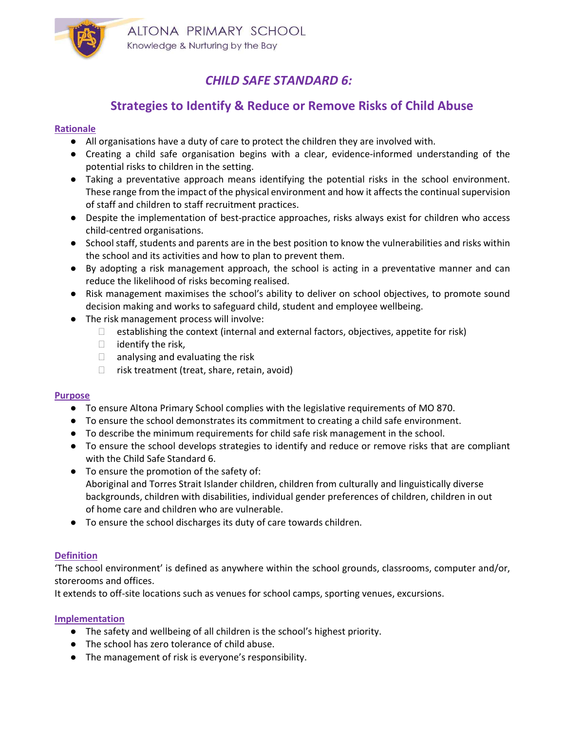

# CHILD SAFE STANDARD 6:

## Strategies to Identify & Reduce or Remove Risks of Child Abuse

### **Rationale**

- All organisations have a duty of care to protect the children they are involved with.
- Creating a child safe organisation begins with a clear, evidence-informed understanding of the potential risks to children in the setting.
- Taking a preventative approach means identifying the potential risks in the school environment. These range from the impact of the physical environment and how it affects the continual supervision of staff and children to staff recruitment practices.
- Despite the implementation of best-practice approaches, risks always exist for children who access child-centred organisations.
- School staff, students and parents are in the best position to know the vulnerabilities and risks within the school and its activities and how to plan to prevent them.
- By adopting a risk management approach, the school is acting in a preventative manner and can reduce the likelihood of risks becoming realised.
- Risk management maximises the school's ability to deliver on school objectives, to promote sound decision making and works to safeguard child, student and employee wellbeing.
- The risk management process will involve:
	- $\Box$  establishing the context (internal and external factors, objectives, appetite for risk)
	- $\Box$  identify the risk,
	- $\Box$  analysing and evaluating the risk
	- $\Box$  risk treatment (treat, share, retain, avoid)

#### **Purpose**

- To ensure Altona Primary School complies with the legislative requirements of MO 870.
- To ensure the school demonstrates its commitment to creating a child safe environment.
- To describe the minimum requirements for child safe risk management in the school.
- To ensure the school develops strategies to identify and reduce or remove risks that are compliant with the Child Safe Standard 6.
- To ensure the promotion of the safety of: Aboriginal and Torres Strait Islander children, children from culturally and linguistically diverse backgrounds, children with disabilities, individual gender preferences of children, children in out of home care and children who are vulnerable.
- To ensure the school discharges its duty of care towards children.

### Definition

'The school environment' is defined as anywhere within the school grounds, classrooms, computer and/or, storerooms and offices.

It extends to off-site locations such as venues for school camps, sporting venues, excursions.

#### Implementation

- The safety and wellbeing of all children is the school's highest priority.
- The school has zero tolerance of child abuse.
- The management of risk is everyone's responsibility.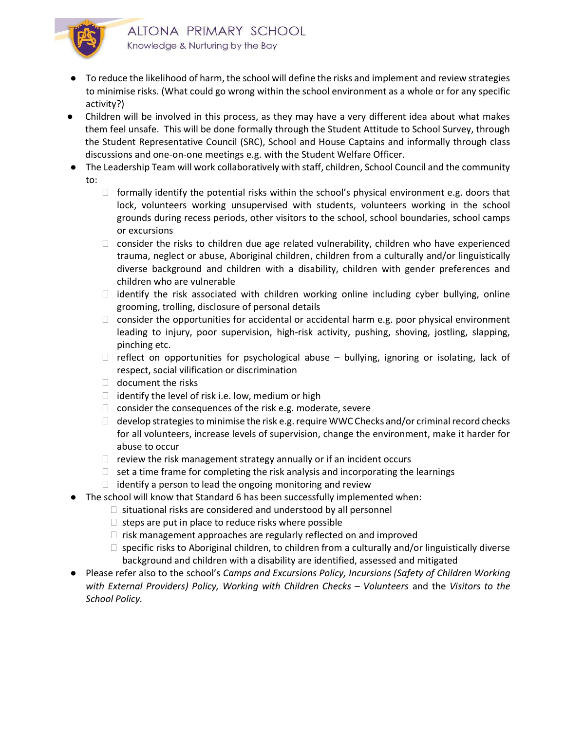

- To reduce the likelihood of harm, the school will define the risks and implement and review strategies to minimise risks. (What could go wrong within the school environment as a whole or for any specific activity?)
- Children will be involved in this process, as they may have a very different idea about what makes them feel unsafe. This will be done formally through the Student Attitude to School Survey, through the Student Representative Council (SRC), School and House Captains and informally through class discussions and one-on-one meetings e.g. with the Student Welfare Officer.
- The Leadership Team will work collaboratively with staff, children, School Council and the community to:
	- $\Box$  formally identify the potential risks within the school's physical environment e.g. doors that lock, volunteers working unsupervised with students, volunteers working in the school grounds during recess periods, other visitors to the school, school boundaries, school camps or excursions
	- $\Box$  consider the risks to children due age related vulnerability, children who have experienced trauma, neglect or abuse, Aboriginal children, children from a culturally and/or linguistically diverse background and children with a disability, children with gender preferences and children who are vulnerable
	- $\Box$  identify the risk associated with children working online including cyber bullying, online grooming, trolling, disclosure of personal details
	- $\Box$  consider the opportunities for accidental or accidental harm e.g. poor physical environment leading to injury, poor supervision, high-risk activity, pushing, shoving, jostling, slapping, pinching etc.
	- $\Box$  reflect on opportunities for psychological abuse bullying, ignoring or isolating, lack of respect, social vilification or discrimination
	- $\Box$  document the risks
	- $\Box$  identify the level of risk i.e. low, medium or high
	- $\Box$  consider the consequences of the risk e.g. moderate, severe
	- $\Box$  develop strategies to minimise the risk e.g. require WWC Checks and/or criminal record checks for all volunteers, increase levels of supervision, change the environment, make it harder for abuse to occur
	- $\Box$  review the risk management strategy annually or if an incident occurs
	- $\Box$  set a time frame for completing the risk analysis and incorporating the learnings
	- $\Box$  identify a person to lead the ongoing monitoring and review
- The school will know that Standard 6 has been successfully implemented when:
	- $\Box$  situational risks are considered and understood by all personnel
	- $\Box$  steps are put in place to reduce risks where possible
	- $\Box$  risk management approaches are regularly reflected on and improved
	- $\Box$  specific risks to Aboriginal children, to children from a culturally and/or linguistically diverse background and children with a disability are identified, assessed and mitigated
- Please refer also to the school's Camps and Excursions Policy, Incursions (Safety of Children Working with External Providers) Policy, Working with Children Checks – Volunteers and the Visitors to the School Policy.